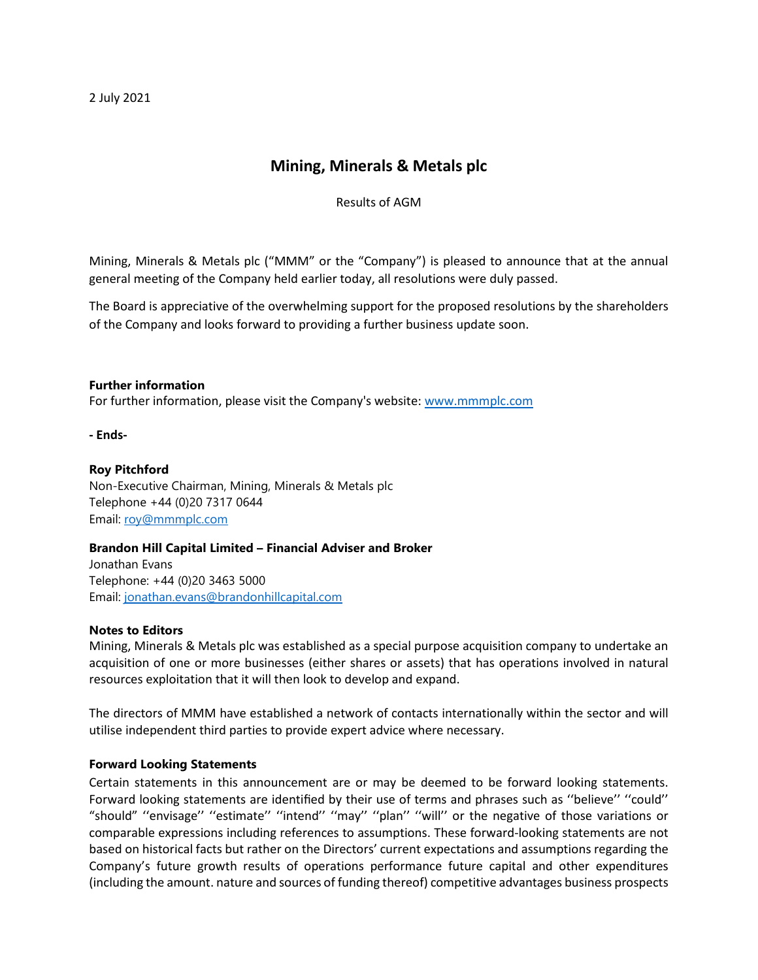2 July 2021

# **Mining, Minerals & Metals plc**

Results of AGM

Mining, Minerals & Metals plc ("MMM" or the "Company") is pleased to announce that at the annual general meeting of the Company held earlier today, all resolutions were duly passed.

The Board is appreciative of the overwhelming support for the proposed resolutions by the shareholders of the Company and looks forward to providing a further business update soon.

### **Further information**

For further information, please visit the Company's website: [www.mmmplc.com](http://www.mmmplc.com/)

**- Ends-**

### **Roy Pitchford**

Non-Executive Chairman, Mining, Minerals & Metals plc Telephone +44 (0)20 7317 0644 Email: [roy@mmmplc.com](mailto:roy@mmmplc.com)

# **Brandon Hill Capital Limited – Financial Adviser and Broker**

Jonathan Evans Telephone: +44 (0)20 3463 5000 Email: [jonathan.evans@brandonhillcapital.com](mailto:jonathan.evans@brandonhillcapital.com)

#### **Notes to Editors**

Mining, Minerals & Metals plc was established as a special purpose acquisition company to undertake an acquisition of one or more businesses (either shares or assets) that has operations involved in natural resources exploitation that it will then look to develop and expand.

The directors of MMM have established a network of contacts internationally within the sector and will utilise independent third parties to provide expert advice where necessary.

# **Forward Looking Statements**

Certain statements in this announcement are or may be deemed to be forward looking statements. Forward looking statements are identified by their use of terms and phrases such as ''believe'' ''could'' "should" ''envisage'' ''estimate'' ''intend'' ''may'' ''plan'' ''will'' or the negative of those variations or comparable expressions including references to assumptions. These forward-looking statements are not based on historical facts but rather on the Directors' current expectations and assumptions regarding the Company's future growth results of operations performance future capital and other expenditures (including the amount. nature and sources of funding thereof) competitive advantages business prospects